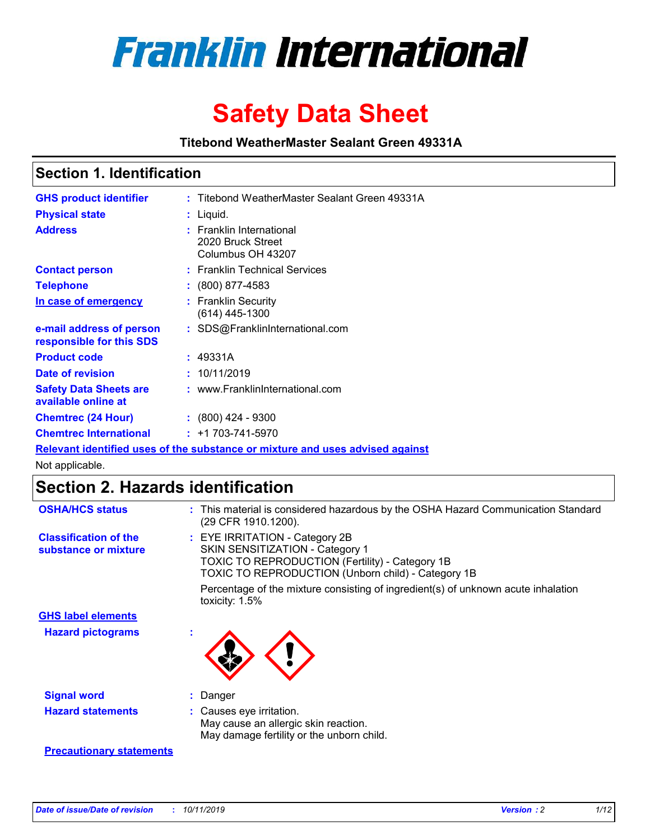

# **Safety Data Sheet**

**Titebond WeatherMaster Sealant Green 49331A**

### **Section 1. Identification**

| <b>GHS product identifier</b>                                                 |  | : Titebond WeatherMaster Sealant Green 49331A                           |  |  |
|-------------------------------------------------------------------------------|--|-------------------------------------------------------------------------|--|--|
| <b>Physical state</b>                                                         |  | : Liquid.                                                               |  |  |
| <b>Address</b>                                                                |  | <b>Franklin International</b><br>2020 Bruck Street<br>Columbus OH 43207 |  |  |
| <b>Contact person</b>                                                         |  | : Franklin Technical Services                                           |  |  |
| <b>Telephone</b>                                                              |  | $\colon$ (800) 877-4583                                                 |  |  |
| In case of emergency                                                          |  | : Franklin Security<br>(614) 445-1300                                   |  |  |
| e-mail address of person<br>responsible for this SDS                          |  | : SDS@FranklinInternational.com                                         |  |  |
| <b>Product code</b>                                                           |  | : 49331A                                                                |  |  |
| Date of revision                                                              |  | : 10/11/2019                                                            |  |  |
| <b>Safety Data Sheets are</b><br>available online at                          |  | : www.FranklinInternational.com                                         |  |  |
| <b>Chemtrec (24 Hour)</b>                                                     |  | $\cdot$ (800) 424 - 9300                                                |  |  |
| <b>Chemtrec International</b>                                                 |  | $: +1703 - 741 - 5970$                                                  |  |  |
| Relevant identified uses of the substance or mixture and uses advised against |  |                                                                         |  |  |

Not applicable.

## **Section 2. Hazards identification**

| <b>OSHA/HCS status</b>                               | : This material is considered hazardous by the OSHA Hazard Communication Standard<br>(29 CFR 1910.1200).                                                                                 |
|------------------------------------------------------|------------------------------------------------------------------------------------------------------------------------------------------------------------------------------------------|
| <b>Classification of the</b><br>substance or mixture | : EYE IRRITATION - Category 2B<br>SKIN SENSITIZATION - Category 1<br><b>TOXIC TO REPRODUCTION (Fertility) - Category 1B</b><br><b>TOXIC TO REPRODUCTION (Unborn child) - Category 1B</b> |
|                                                      | Percentage of the mixture consisting of ingredient(s) of unknown acute inhalation<br>toxicity: $1.5\%$                                                                                   |
| <b>GHS label elements</b>                            |                                                                                                                                                                                          |
| <b>Hazard pictograms</b>                             |                                                                                                                                                                                          |
| <b>Signal word</b>                                   | : Danger                                                                                                                                                                                 |
| <b>Hazard statements</b>                             | : Causes eye irritation.<br>May cause an allergic skin reaction.<br>May damage fertility or the unborn child.                                                                            |
| <b>Precautionary statements</b>                      |                                                                                                                                                                                          |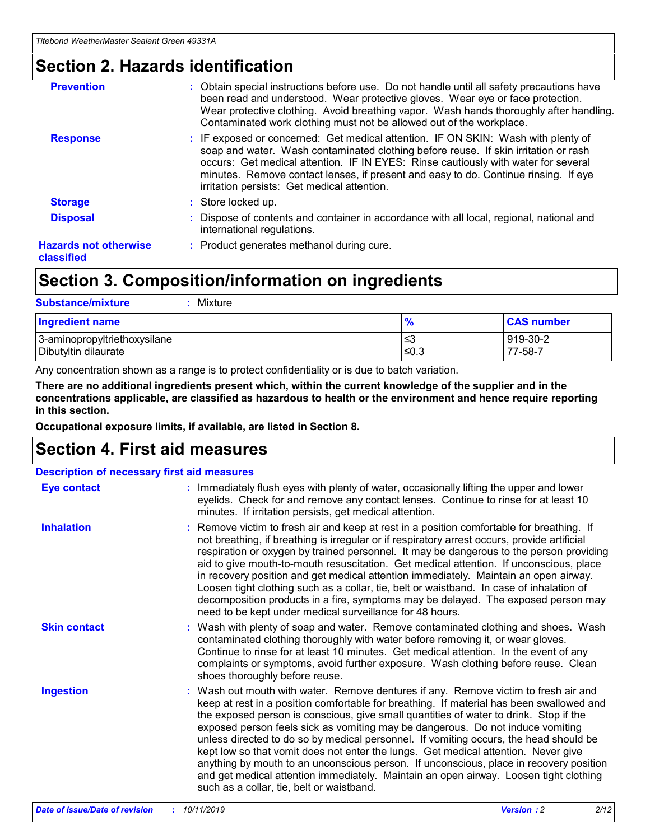### **Section 2. Hazards identification**

| <b>Prevention</b>                          | : Obtain special instructions before use. Do not handle until all safety precautions have<br>been read and understood. Wear protective gloves. Wear eye or face protection.<br>Wear protective clothing. Avoid breathing vapor. Wash hands thoroughly after handling.<br>Contaminated work clothing must not be allowed out of the workplace.                                                        |
|--------------------------------------------|------------------------------------------------------------------------------------------------------------------------------------------------------------------------------------------------------------------------------------------------------------------------------------------------------------------------------------------------------------------------------------------------------|
| <b>Response</b>                            | : IF exposed or concerned: Get medical attention. IF ON SKIN: Wash with plenty of<br>soap and water. Wash contaminated clothing before reuse. If skin irritation or rash<br>occurs: Get medical attention. IF IN EYES: Rinse cautiously with water for several<br>minutes. Remove contact lenses, if present and easy to do. Continue rinsing. If eye<br>irritation persists: Get medical attention. |
| <b>Storage</b>                             | : Store locked up.                                                                                                                                                                                                                                                                                                                                                                                   |
| <b>Disposal</b>                            | : Dispose of contents and container in accordance with all local, regional, national and<br>international regulations.                                                                                                                                                                                                                                                                               |
| <b>Hazards not otherwise</b><br>classified | : Product generates methanol during cure.                                                                                                                                                                                                                                                                                                                                                            |
|                                            |                                                                                                                                                                                                                                                                                                                                                                                                      |

### **Section 3. Composition/information on ingredients**

| <b>Substance/mixture</b><br>: Mixture                |               |                     |
|------------------------------------------------------|---------------|---------------------|
| Ingredient name                                      | $\frac{9}{6}$ | <b>CAS number</b>   |
| 3-aminopropyltriethoxysilane<br>Dibutyltin dilaurate | צ≥<br>≤0.3    | 919-30-2<br>77-58-7 |

Any concentration shown as a range is to protect confidentiality or is due to batch variation.

**There are no additional ingredients present which, within the current knowledge of the supplier and in the concentrations applicable, are classified as hazardous to health or the environment and hence require reporting in this section.**

**Occupational exposure limits, if available, are listed in Section 8.**

### **Section 4. First aid measures**

| <b>Description of necessary first aid measures</b> |                                                                                                                                                                                                                                                                                                                                                                                                                                                                                                                                                                                                                                                                                                                                                                           |  |  |  |
|----------------------------------------------------|---------------------------------------------------------------------------------------------------------------------------------------------------------------------------------------------------------------------------------------------------------------------------------------------------------------------------------------------------------------------------------------------------------------------------------------------------------------------------------------------------------------------------------------------------------------------------------------------------------------------------------------------------------------------------------------------------------------------------------------------------------------------------|--|--|--|
| <b>Eye contact</b>                                 | : Immediately flush eyes with plenty of water, occasionally lifting the upper and lower<br>eyelids. Check for and remove any contact lenses. Continue to rinse for at least 10<br>minutes. If irritation persists, get medical attention.                                                                                                                                                                                                                                                                                                                                                                                                                                                                                                                                 |  |  |  |
| <b>Inhalation</b>                                  | : Remove victim to fresh air and keep at rest in a position comfortable for breathing. If<br>not breathing, if breathing is irregular or if respiratory arrest occurs, provide artificial<br>respiration or oxygen by trained personnel. It may be dangerous to the person providing<br>aid to give mouth-to-mouth resuscitation. Get medical attention. If unconscious, place<br>in recovery position and get medical attention immediately. Maintain an open airway.<br>Loosen tight clothing such as a collar, tie, belt or waistband. In case of inhalation of<br>decomposition products in a fire, symptoms may be delayed. The exposed person may<br>need to be kept under medical surveillance for 48 hours.                                                       |  |  |  |
| <b>Skin contact</b>                                | : Wash with plenty of soap and water. Remove contaminated clothing and shoes. Wash<br>contaminated clothing thoroughly with water before removing it, or wear gloves.<br>Continue to rinse for at least 10 minutes. Get medical attention. In the event of any<br>complaints or symptoms, avoid further exposure. Wash clothing before reuse. Clean<br>shoes thoroughly before reuse.                                                                                                                                                                                                                                                                                                                                                                                     |  |  |  |
| <b>Ingestion</b>                                   | : Wash out mouth with water. Remove dentures if any. Remove victim to fresh air and<br>keep at rest in a position comfortable for breathing. If material has been swallowed and<br>the exposed person is conscious, give small quantities of water to drink. Stop if the<br>exposed person feels sick as vomiting may be dangerous. Do not induce vomiting<br>unless directed to do so by medical personnel. If vomiting occurs, the head should be<br>kept low so that vomit does not enter the lungs. Get medical attention. Never give<br>anything by mouth to an unconscious person. If unconscious, place in recovery position<br>and get medical attention immediately. Maintain an open airway. Loosen tight clothing<br>such as a collar, tie, belt or waistband. |  |  |  |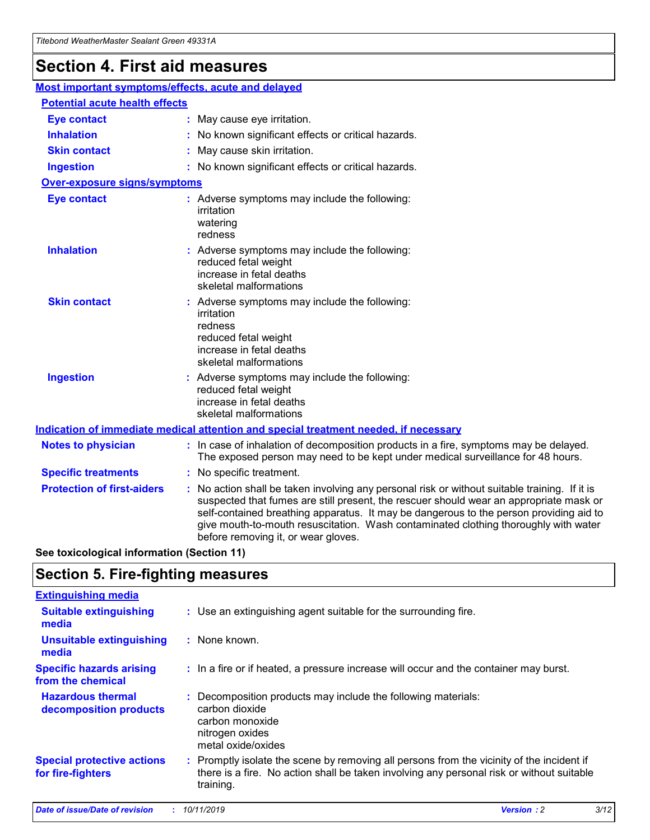## **Section 4. First aid measures**

| Most important symptoms/effects, acute and delayed |  |                                                                                                                                                                                                                                                                                                                                                                                                                 |  |
|----------------------------------------------------|--|-----------------------------------------------------------------------------------------------------------------------------------------------------------------------------------------------------------------------------------------------------------------------------------------------------------------------------------------------------------------------------------------------------------------|--|
| <b>Potential acute health effects</b>              |  |                                                                                                                                                                                                                                                                                                                                                                                                                 |  |
| <b>Eye contact</b>                                 |  | : May cause eye irritation.                                                                                                                                                                                                                                                                                                                                                                                     |  |
| <b>Inhalation</b>                                  |  | : No known significant effects or critical hazards.                                                                                                                                                                                                                                                                                                                                                             |  |
| <b>Skin contact</b>                                |  | : May cause skin irritation.                                                                                                                                                                                                                                                                                                                                                                                    |  |
| <b>Ingestion</b>                                   |  | : No known significant effects or critical hazards.                                                                                                                                                                                                                                                                                                                                                             |  |
| Over-exposure signs/symptoms                       |  |                                                                                                                                                                                                                                                                                                                                                                                                                 |  |
| <b>Eye contact</b>                                 |  | : Adverse symptoms may include the following:<br>irritation<br>watering<br>redness                                                                                                                                                                                                                                                                                                                              |  |
| <b>Inhalation</b>                                  |  | : Adverse symptoms may include the following:<br>reduced fetal weight<br>increase in fetal deaths<br>skeletal malformations                                                                                                                                                                                                                                                                                     |  |
| <b>Skin contact</b>                                |  | : Adverse symptoms may include the following:<br>irritation<br>redness<br>reduced fetal weight<br>increase in fetal deaths<br>skeletal malformations                                                                                                                                                                                                                                                            |  |
| <b>Ingestion</b>                                   |  | : Adverse symptoms may include the following:<br>reduced fetal weight<br>increase in fetal deaths<br>skeletal malformations                                                                                                                                                                                                                                                                                     |  |
|                                                    |  | <b>Indication of immediate medical attention and special treatment needed, if necessary</b>                                                                                                                                                                                                                                                                                                                     |  |
| <b>Notes to physician</b>                          |  | : In case of inhalation of decomposition products in a fire, symptoms may be delayed.<br>The exposed person may need to be kept under medical surveillance for 48 hours.                                                                                                                                                                                                                                        |  |
| <b>Specific treatments</b>                         |  | : No specific treatment.                                                                                                                                                                                                                                                                                                                                                                                        |  |
| <b>Protection of first-aiders</b>                  |  | : No action shall be taken involving any personal risk or without suitable training. If it is<br>suspected that fumes are still present, the rescuer should wear an appropriate mask or<br>self-contained breathing apparatus. It may be dangerous to the person providing aid to<br>give mouth-to-mouth resuscitation. Wash contaminated clothing thoroughly with water<br>before removing it, or wear gloves. |  |

**See toxicological information (Section 11)**

### **Section 5. Fire-fighting measures**

| <b>Extinguishing media</b>                             |                                                                                                                                                                                                     |
|--------------------------------------------------------|-----------------------------------------------------------------------------------------------------------------------------------------------------------------------------------------------------|
| <b>Suitable extinguishing</b><br>media                 | : Use an extinguishing agent suitable for the surrounding fire.                                                                                                                                     |
| <b>Unsuitable extinguishing</b><br>media               | $:$ None known.                                                                                                                                                                                     |
| <b>Specific hazards arising</b><br>from the chemical   | : In a fire or if heated, a pressure increase will occur and the container may burst.                                                                                                               |
| <b>Hazardous thermal</b><br>decomposition products     | : Decomposition products may include the following materials:<br>carbon dioxide<br>carbon monoxide<br>nitrogen oxides<br>metal oxide/oxides                                                         |
| <b>Special protective actions</b><br>for fire-fighters | : Promptly isolate the scene by removing all persons from the vicinity of the incident if<br>there is a fire. No action shall be taken involving any personal risk or without suitable<br>training. |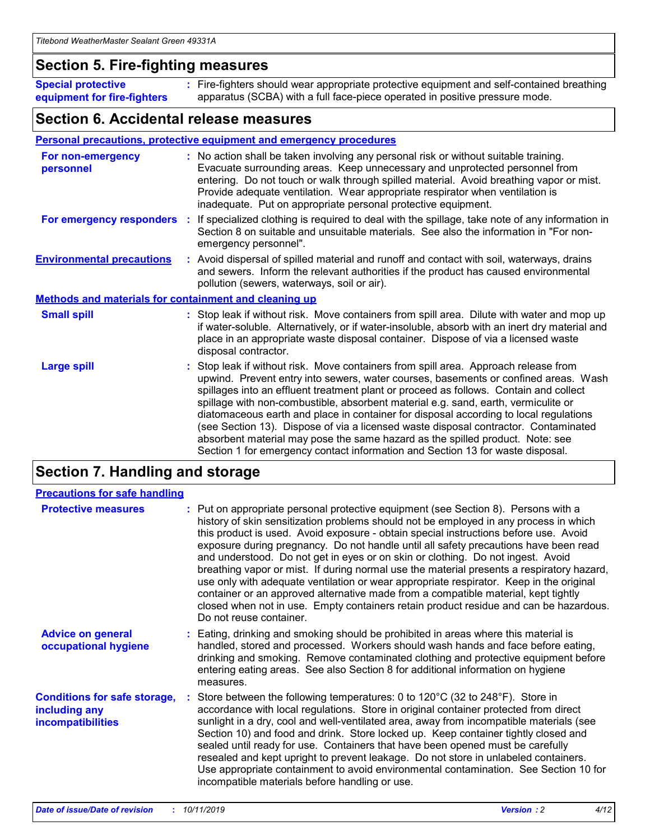### **Section 5. Fire-fighting measures**

**Special protective equipment for fire-fighters** Fire-fighters should wear appropriate protective equipment and self-contained breathing **:** apparatus (SCBA) with a full face-piece operated in positive pressure mode.

### **Section 6. Accidental release measures**

#### **Personal precautions, protective equipment and emergency procedures**

| For non-emergency<br>personnel                               |  | : No action shall be taken involving any personal risk or without suitable training.<br>Evacuate surrounding areas. Keep unnecessary and unprotected personnel from<br>entering. Do not touch or walk through spilled material. Avoid breathing vapor or mist.<br>Provide adequate ventilation. Wear appropriate respirator when ventilation is<br>inadequate. Put on appropriate personal protective equipment.                                                                                                                                                                                                                                                                                             |  |
|--------------------------------------------------------------|--|--------------------------------------------------------------------------------------------------------------------------------------------------------------------------------------------------------------------------------------------------------------------------------------------------------------------------------------------------------------------------------------------------------------------------------------------------------------------------------------------------------------------------------------------------------------------------------------------------------------------------------------------------------------------------------------------------------------|--|
|                                                              |  | For emergency responders : If specialized clothing is required to deal with the spillage, take note of any information in<br>Section 8 on suitable and unsuitable materials. See also the information in "For non-<br>emergency personnel".                                                                                                                                                                                                                                                                                                                                                                                                                                                                  |  |
| <b>Environmental precautions</b>                             |  | : Avoid dispersal of spilled material and runoff and contact with soil, waterways, drains<br>and sewers. Inform the relevant authorities if the product has caused environmental<br>pollution (sewers, waterways, soil or air).                                                                                                                                                                                                                                                                                                                                                                                                                                                                              |  |
| <b>Methods and materials for containment and cleaning up</b> |  |                                                                                                                                                                                                                                                                                                                                                                                                                                                                                                                                                                                                                                                                                                              |  |
| <b>Small spill</b>                                           |  | : Stop leak if without risk. Move containers from spill area. Dilute with water and mop up<br>if water-soluble. Alternatively, or if water-insoluble, absorb with an inert dry material and<br>place in an appropriate waste disposal container. Dispose of via a licensed waste<br>disposal contractor.                                                                                                                                                                                                                                                                                                                                                                                                     |  |
| <b>Large spill</b>                                           |  | : Stop leak if without risk. Move containers from spill area. Approach release from<br>upwind. Prevent entry into sewers, water courses, basements or confined areas. Wash<br>spillages into an effluent treatment plant or proceed as follows. Contain and collect<br>spillage with non-combustible, absorbent material e.g. sand, earth, vermiculite or<br>diatomaceous earth and place in container for disposal according to local regulations<br>(see Section 13). Dispose of via a licensed waste disposal contractor. Contaminated<br>absorbent material may pose the same hazard as the spilled product. Note: see<br>Section 1 for emergency contact information and Section 13 for waste disposal. |  |

### **Section 7. Handling and storage**

| <b>Precautions for safe handling</b>                                             |                                                                                                                                                                                                                                                                                                                                                                                                                                                                                                                                                                                                                                                                                                                                                                                                                                                  |
|----------------------------------------------------------------------------------|--------------------------------------------------------------------------------------------------------------------------------------------------------------------------------------------------------------------------------------------------------------------------------------------------------------------------------------------------------------------------------------------------------------------------------------------------------------------------------------------------------------------------------------------------------------------------------------------------------------------------------------------------------------------------------------------------------------------------------------------------------------------------------------------------------------------------------------------------|
| <b>Protective measures</b>                                                       | : Put on appropriate personal protective equipment (see Section 8). Persons with a<br>history of skin sensitization problems should not be employed in any process in which<br>this product is used. Avoid exposure - obtain special instructions before use. Avoid<br>exposure during pregnancy. Do not handle until all safety precautions have been read<br>and understood. Do not get in eyes or on skin or clothing. Do not ingest. Avoid<br>breathing vapor or mist. If during normal use the material presents a respiratory hazard,<br>use only with adequate ventilation or wear appropriate respirator. Keep in the original<br>container or an approved alternative made from a compatible material, kept tightly<br>closed when not in use. Empty containers retain product residue and can be hazardous.<br>Do not reuse container. |
| <b>Advice on general</b><br>occupational hygiene                                 | : Eating, drinking and smoking should be prohibited in areas where this material is<br>handled, stored and processed. Workers should wash hands and face before eating,<br>drinking and smoking. Remove contaminated clothing and protective equipment before<br>entering eating areas. See also Section 8 for additional information on hygiene<br>measures.                                                                                                                                                                                                                                                                                                                                                                                                                                                                                    |
| <b>Conditions for safe storage,</b><br>including any<br><b>incompatibilities</b> | Store between the following temperatures: 0 to $120^{\circ}$ C (32 to $248^{\circ}$ F). Store in<br>accordance with local regulations. Store in original container protected from direct<br>sunlight in a dry, cool and well-ventilated area, away from incompatible materials (see<br>Section 10) and food and drink. Store locked up. Keep container tightly closed and<br>sealed until ready for use. Containers that have been opened must be carefully<br>resealed and kept upright to prevent leakage. Do not store in unlabeled containers.<br>Use appropriate containment to avoid environmental contamination. See Section 10 for<br>incompatible materials before handling or use.                                                                                                                                                     |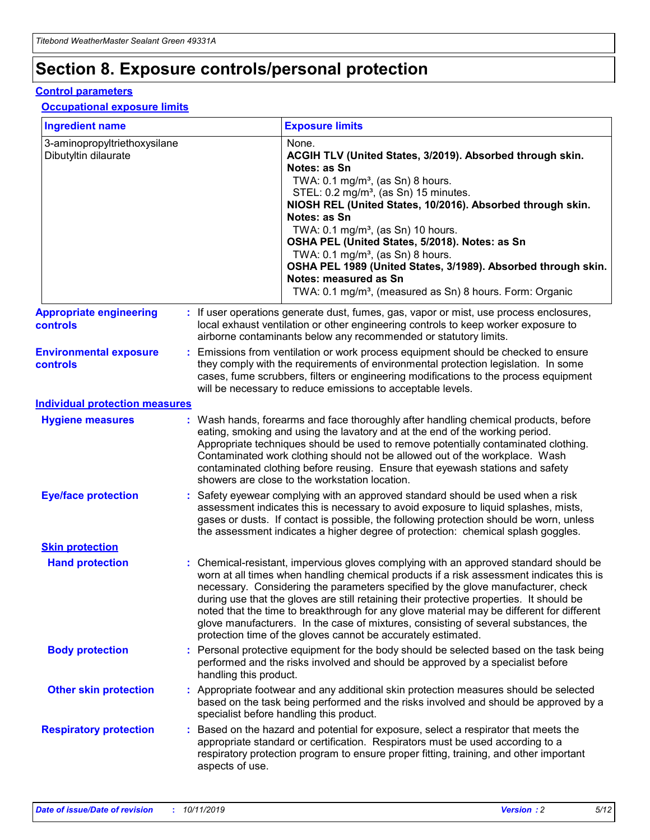## **Section 8. Exposure controls/personal protection**

#### **Control parameters**

#### **Occupational exposure limits**

| <b>Ingredient name</b>                               |    |                        | <b>Exposure limits</b>                                                                                                                                                                                                                                                                                                                                                                                                                                                                                                                                                                                                 |
|------------------------------------------------------|----|------------------------|------------------------------------------------------------------------------------------------------------------------------------------------------------------------------------------------------------------------------------------------------------------------------------------------------------------------------------------------------------------------------------------------------------------------------------------------------------------------------------------------------------------------------------------------------------------------------------------------------------------------|
| 3-aminopropyltriethoxysilane<br>Dibutyltin dilaurate |    |                        | None.<br>ACGIH TLV (United States, 3/2019). Absorbed through skin.<br>Notes: as Sn<br>TWA: $0.1 \text{ mg/m}^3$ , (as Sn) 8 hours.<br>STEL: 0.2 mg/m <sup>3</sup> , (as Sn) 15 minutes.<br>NIOSH REL (United States, 10/2016). Absorbed through skin.<br>Notes: as Sn<br>TWA: 0.1 mg/m <sup>3</sup> , (as Sn) 10 hours.<br>OSHA PEL (United States, 5/2018). Notes: as Sn<br>TWA: 0.1 mg/m <sup>3</sup> , (as Sn) 8 hours.<br>OSHA PEL 1989 (United States, 3/1989). Absorbed through skin.<br>Notes: measured as Sn<br>TWA: 0.1 mg/m <sup>3</sup> , (measured as Sn) 8 hours. Form: Organic                           |
| <b>Appropriate engineering</b><br>controls           |    |                        | : If user operations generate dust, fumes, gas, vapor or mist, use process enclosures,<br>local exhaust ventilation or other engineering controls to keep worker exposure to<br>airborne contaminants below any recommended or statutory limits.                                                                                                                                                                                                                                                                                                                                                                       |
| <b>Environmental exposure</b><br>controls            |    |                        | Emissions from ventilation or work process equipment should be checked to ensure<br>they comply with the requirements of environmental protection legislation. In some<br>cases, fume scrubbers, filters or engineering modifications to the process equipment<br>will be necessary to reduce emissions to acceptable levels.                                                                                                                                                                                                                                                                                          |
| <b>Individual protection measures</b>                |    |                        |                                                                                                                                                                                                                                                                                                                                                                                                                                                                                                                                                                                                                        |
| <b>Hygiene measures</b>                              |    |                        | : Wash hands, forearms and face thoroughly after handling chemical products, before<br>eating, smoking and using the lavatory and at the end of the working period.<br>Appropriate techniques should be used to remove potentially contaminated clothing.<br>Contaminated work clothing should not be allowed out of the workplace. Wash<br>contaminated clothing before reusing. Ensure that eyewash stations and safety<br>showers are close to the workstation location.                                                                                                                                            |
| <b>Eye/face protection</b>                           |    |                        | Safety eyewear complying with an approved standard should be used when a risk<br>assessment indicates this is necessary to avoid exposure to liquid splashes, mists,<br>gases or dusts. If contact is possible, the following protection should be worn, unless<br>the assessment indicates a higher degree of protection: chemical splash goggles.                                                                                                                                                                                                                                                                    |
| <b>Skin protection</b>                               |    |                        |                                                                                                                                                                                                                                                                                                                                                                                                                                                                                                                                                                                                                        |
| <b>Hand protection</b>                               |    |                        | : Chemical-resistant, impervious gloves complying with an approved standard should be<br>worn at all times when handling chemical products if a risk assessment indicates this is<br>necessary. Considering the parameters specified by the glove manufacturer, check<br>during use that the gloves are still retaining their protective properties. It should be<br>noted that the time to breakthrough for any glove material may be different for different<br>glove manufacturers. In the case of mixtures, consisting of several substances, the<br>protection time of the gloves cannot be accurately estimated. |
| <b>Body protection</b>                               |    | handling this product. | Personal protective equipment for the body should be selected based on the task being<br>performed and the risks involved and should be approved by a specialist before                                                                                                                                                                                                                                                                                                                                                                                                                                                |
| <b>Other skin protection</b>                         |    |                        | : Appropriate footwear and any additional skin protection measures should be selected<br>based on the task being performed and the risks involved and should be approved by a<br>specialist before handling this product.                                                                                                                                                                                                                                                                                                                                                                                              |
| <b>Respiratory protection</b>                        | ÷. | aspects of use.        | Based on the hazard and potential for exposure, select a respirator that meets the<br>appropriate standard or certification. Respirators must be used according to a<br>respiratory protection program to ensure proper fitting, training, and other important                                                                                                                                                                                                                                                                                                                                                         |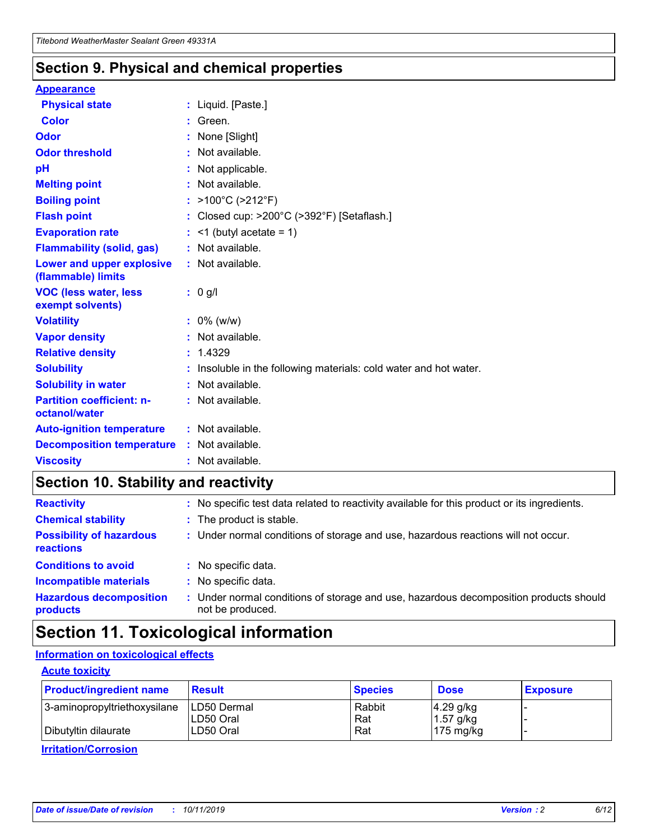### **Section 9. Physical and chemical properties**

#### **Appearance**

| <b>Physical state</b>                             | : Liquid. [Paste.]                                                |
|---------------------------------------------------|-------------------------------------------------------------------|
| <b>Color</b>                                      | Green.                                                            |
| Odor                                              | None [Slight]                                                     |
| <b>Odor threshold</b>                             | : Not available.                                                  |
| рH                                                | : Not applicable.                                                 |
| <b>Melting point</b>                              | : Not available.                                                  |
| <b>Boiling point</b>                              | : $>100^{\circ}$ C ( $>212^{\circ}$ F)                            |
| <b>Flash point</b>                                | : Closed cup: >200°C (>392°F) [Setaflash.]                        |
| <b>Evaporation rate</b>                           | $:$ <1 (butyl acetate = 1)                                        |
| <b>Flammability (solid, gas)</b>                  | : Not available.                                                  |
| Lower and upper explosive<br>(flammable) limits   | : Not available.                                                  |
| <b>VOC (less water, less</b><br>exempt solvents)  | $: 0$ g/l                                                         |
| <b>Volatility</b>                                 | $: 0\%$ (w/w)                                                     |
| <b>Vapor density</b>                              | : Not available.                                                  |
| <b>Relative density</b>                           | : 1.4329                                                          |
| <b>Solubility</b>                                 | : Insoluble in the following materials: cold water and hot water. |
| <b>Solubility in water</b>                        | : Not available.                                                  |
| <b>Partition coefficient: n-</b><br>octanol/water | : Not available.                                                  |
| <b>Auto-ignition temperature</b>                  | : Not available.                                                  |
| <b>Decomposition temperature</b>                  | : Not available.                                                  |
| <b>Viscosity</b>                                  | : Not available.                                                  |

### **Section 10. Stability and reactivity**

| <b>Reactivity</b>                            | : No specific test data related to reactivity available for this product or its ingredients.            |
|----------------------------------------------|---------------------------------------------------------------------------------------------------------|
| <b>Chemical stability</b>                    | : The product is stable.                                                                                |
| <b>Possibility of hazardous</b><br>reactions | : Under normal conditions of storage and use, hazardous reactions will not occur.                       |
| <b>Conditions to avoid</b>                   | : No specific data.                                                                                     |
| <b>Incompatible materials</b>                | : No specific data.                                                                                     |
| <b>Hazardous decomposition</b><br>products   | Under normal conditions of storage and use, hazardous decomposition products should<br>not be produced. |

### **Section 11. Toxicological information**

### **Information on toxicological effects**

#### **Acute toxicity**

| <b>Product/ingredient name</b> | <b>Result</b>           | <b>Species</b> | <b>Dose</b>                | <b>Exposure</b> |
|--------------------------------|-------------------------|----------------|----------------------------|-----------------|
| 3-aminopropyltriethoxysilane   | <b>ILD50 Dermal</b>     | Rabbit         | 4.29 g/kg                  |                 |
| Dibutyltin dilaurate           | ILD50 Oral<br>LD50 Oral | Rat<br>Rat     | $1.57$ g/kg<br>175 $mg/kg$ |                 |
|                                |                         |                |                            |                 |

**Irritation/Corrosion**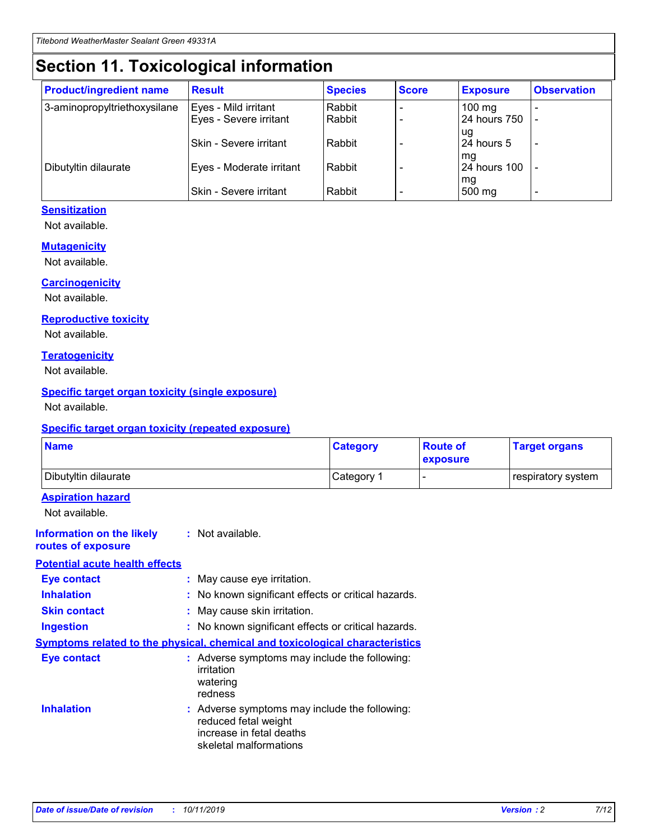## **Section 11. Toxicological information**

| <b>Product/ingredient name</b> | <b>Result</b>            | <b>Species</b> | <b>Score</b> | <b>Exposure</b>           | <b>Observation</b> |
|--------------------------------|--------------------------|----------------|--------------|---------------------------|--------------------|
| 3-aminopropyltriethoxysilane   | Eyes - Mild irritant     | Rabbit         |              | $100$ mg                  |                    |
|                                | Eyes - Severe irritant   | Rabbit         |              | 24 hours 750              |                    |
|                                |                          |                |              | ug                        |                    |
|                                | Skin - Severe irritant   | Rabbit         |              | 24 hours 5                | -                  |
| Dibutyltin dilaurate           | Eyes - Moderate irritant | Rabbit         |              | mq<br><b>24 hours 100</b> |                    |
|                                |                          |                |              | mg                        |                    |
|                                | Skin - Severe irritant   | Rabbit         |              | 500 mg                    |                    |

#### **Sensitization**

Not available.

#### **Mutagenicity**

Not available.

#### **Carcinogenicity**

Not available.

#### **Reproductive toxicity**

Not available.

#### **Teratogenicity**

Not available.

#### **Specific target organ toxicity (single exposure)**

Not available.

#### **Specific target organ toxicity (repeated exposure)**

| <b>Name</b>                                                                  |                                                                                                                             | <b>Category</b> | <b>Route of</b><br>exposure  | <b>Target organs</b> |
|------------------------------------------------------------------------------|-----------------------------------------------------------------------------------------------------------------------------|-----------------|------------------------------|----------------------|
| Dibutyltin dilaurate                                                         |                                                                                                                             | Category 1      | $\qquad \qquad \blacksquare$ | respiratory system   |
| <b>Aspiration hazard</b><br>Not available.                                   |                                                                                                                             |                 |                              |                      |
| <b>Information on the likely</b><br>routes of exposure                       | : Not available.                                                                                                            |                 |                              |                      |
| <b>Potential acute health effects</b>                                        |                                                                                                                             |                 |                              |                      |
| <b>Eye contact</b>                                                           | : May cause eye irritation.                                                                                                 |                 |                              |                      |
| <b>Inhalation</b>                                                            | : No known significant effects or critical hazards.                                                                         |                 |                              |                      |
| <b>Skin contact</b>                                                          | : May cause skin irritation.                                                                                                |                 |                              |                      |
| <b>Ingestion</b>                                                             | : No known significant effects or critical hazards.                                                                         |                 |                              |                      |
| Symptoms related to the physical, chemical and toxicological characteristics |                                                                                                                             |                 |                              |                      |
| <b>Eye contact</b>                                                           | : Adverse symptoms may include the following:<br>irritation<br>watering<br>redness                                          |                 |                              |                      |
| <b>Inhalation</b>                                                            | : Adverse symptoms may include the following:<br>reduced fetal weight<br>increase in fetal deaths<br>skeletal malformations |                 |                              |                      |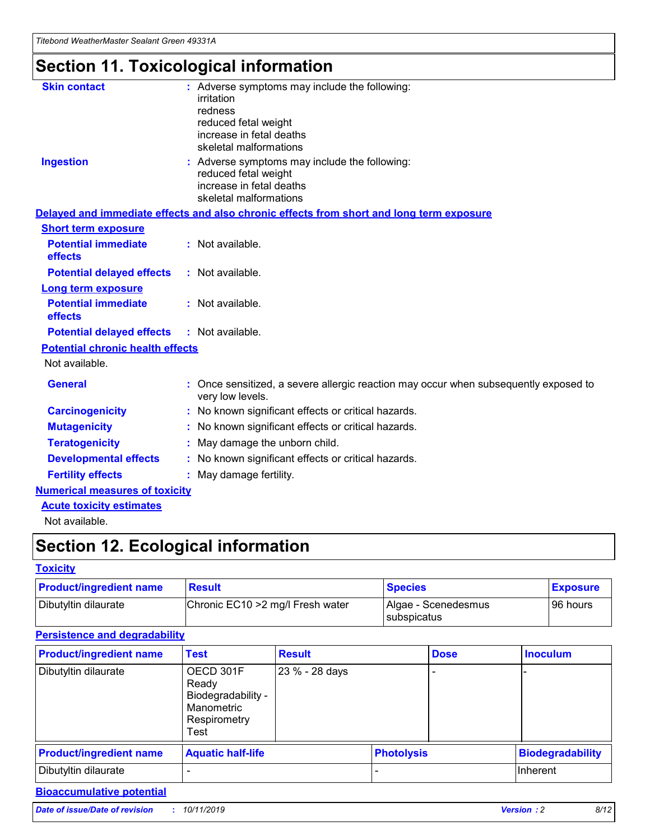## **Section 11. Toxicological information**

| <b>Skin contact</b>                     | : Adverse symptoms may include the following:<br>irritation<br>redness<br>reduced fetal weight<br>increase in fetal deaths<br>skeletal malformations |
|-----------------------------------------|------------------------------------------------------------------------------------------------------------------------------------------------------|
| <b>Ingestion</b>                        | : Adverse symptoms may include the following:<br>reduced fetal weight<br>increase in fetal deaths<br>skeletal malformations                          |
|                                         | Delayed and immediate effects and also chronic effects from short and long term exposure                                                             |
| <b>Short term exposure</b>              |                                                                                                                                                      |
| <b>Potential immediate</b><br>effects   | : Not available.                                                                                                                                     |
| <b>Potential delayed effects</b>        | : Not available.                                                                                                                                     |
| <b>Long term exposure</b>               |                                                                                                                                                      |
| <b>Potential immediate</b><br>effects   | : Not available.                                                                                                                                     |
| <b>Potential delayed effects</b>        | : Not available.                                                                                                                                     |
| <b>Potential chronic health effects</b> |                                                                                                                                                      |
| Not available.                          |                                                                                                                                                      |
| <b>General</b>                          | : Once sensitized, a severe allergic reaction may occur when subsequently exposed to<br>very low levels.                                             |
| <b>Carcinogenicity</b>                  | : No known significant effects or critical hazards.                                                                                                  |
| <b>Mutagenicity</b>                     | No known significant effects or critical hazards.                                                                                                    |
| <b>Teratogenicity</b>                   | May damage the unborn child.                                                                                                                         |
| <b>Developmental effects</b>            | No known significant effects or critical hazards.                                                                                                    |
| <b>Fertility effects</b>                | : May damage fertility.                                                                                                                              |
| <b>Numerical measures of toxicity</b>   |                                                                                                                                                      |
| <b>Acute toxicity estimates</b>         |                                                                                                                                                      |
|                                         |                                                                                                                                                      |

Not available.

## **Section 12. Ecological information**

#### **Toxicity**

| <b>Product/ingredient name</b> | <b>Result</b>                     | <b>Species</b>                       | <b>Exposure</b> |
|--------------------------------|-----------------------------------|--------------------------------------|-----------------|
| Dibutyltin dilaurate           | Chronic EC10 > 2 mg/l Fresh water | Algae - Scenedesmus<br>I subspicatus | l 96 hours i    |

### **Persistence and degradability**

| <b>Product/ingredient name</b> | <b>Test</b>                                                                    | <b>Result</b>  |                   | <b>Dose</b> | <b>Inoculum</b>         |
|--------------------------------|--------------------------------------------------------------------------------|----------------|-------------------|-------------|-------------------------|
| Dibutyltin dilaurate           | OECD 301F<br>Ready<br>Biodegradability -<br>Manometric<br>Respirometry<br>Test | 23 % - 28 days |                   |             |                         |
| <b>Product/ingredient name</b> | <b>Aquatic half-life</b>                                                       |                | <b>Photolysis</b> |             | <b>Biodegradability</b> |
| Dibutyltin dilaurate           |                                                                                |                |                   |             | Inherent                |

### **Bioaccumulative potential**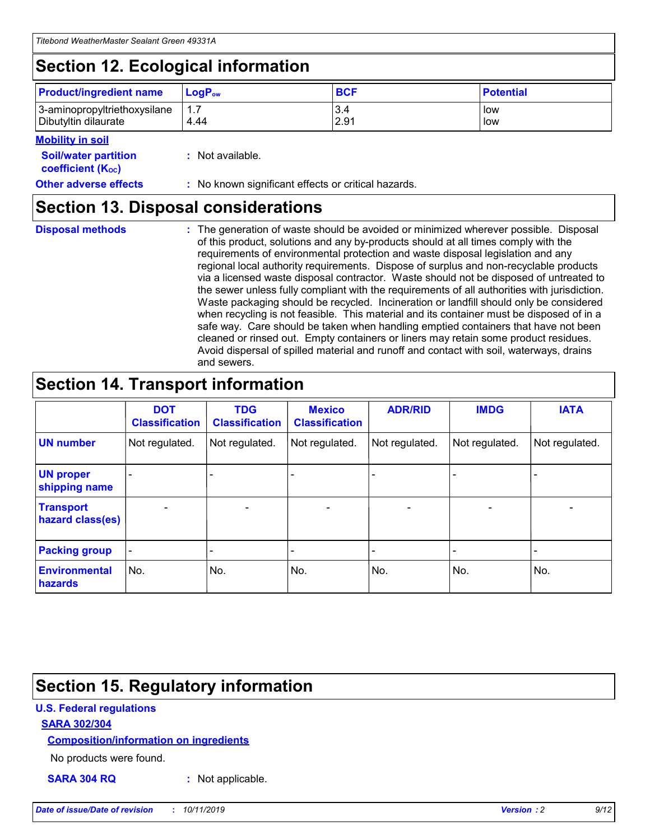## **Section 12. Ecological information**

| <b>Product/ingredient name</b>                       | ∣LoqP <sub>ow</sub> | <b>BCF</b>  | <b>Potential</b> |
|------------------------------------------------------|---------------------|-------------|------------------|
| 3-aminopropyltriethoxysilane<br>Dibutyltin dilaurate | 4.44                | 3.4<br>2.91 | low<br>low       |

#### **Mobility in soil**

| <i></i>                                                       |                                                     |
|---------------------------------------------------------------|-----------------------------------------------------|
| <b>Soil/water partition</b><br>coefficient (K <sub>oc</sub> ) | : Not available.                                    |
| <b>Other adverse effects</b>                                  | : No known significant effects or critical hazards. |

### **Section 13. Disposal considerations**

|  | <b>Disposal methods</b> |  |
|--|-------------------------|--|

**Disposal methods** : The generation of waste should be avoided or minimized wherever possible. Disposal of this product, solutions and any by-products should at all times comply with the requirements of environmental protection and waste disposal legislation and any regional local authority requirements. Dispose of surplus and non-recyclable products via a licensed waste disposal contractor. Waste should not be disposed of untreated to the sewer unless fully compliant with the requirements of all authorities with jurisdiction. Waste packaging should be recycled. Incineration or landfill should only be considered when recycling is not feasible. This material and its container must be disposed of in a safe way. Care should be taken when handling emptied containers that have not been cleaned or rinsed out. Empty containers or liners may retain some product residues. Avoid dispersal of spilled material and runoff and contact with soil, waterways, drains and sewers.

## **Section 14. Transport information**

|                                      | <b>DOT</b><br><b>Classification</b> | <b>TDG</b><br><b>Classification</b> | <b>Mexico</b><br><b>Classification</b> | <b>ADR/RID</b>           | <b>IMDG</b>              | <b>IATA</b>              |
|--------------------------------------|-------------------------------------|-------------------------------------|----------------------------------------|--------------------------|--------------------------|--------------------------|
| <b>UN number</b>                     | Not regulated.                      | Not regulated.                      | Not regulated.                         | Not regulated.           | Not regulated.           | Not regulated.           |
| <b>UN proper</b><br>shipping name    | $\qquad \qquad$                     |                                     |                                        |                          |                          |                          |
| <b>Transport</b><br>hazard class(es) | $\blacksquare$                      | $\blacksquare$                      | $\blacksquare$                         | $\overline{\phantom{a}}$ | $\blacksquare$           | $\blacksquare$           |
| <b>Packing group</b>                 | $\overline{\phantom{a}}$            | $\overline{\phantom{0}}$            | $\overline{\phantom{0}}$               | -                        | $\overline{\phantom{0}}$ | $\overline{\phantom{a}}$ |
| <b>Environmental</b><br>hazards      | No.                                 | No.                                 | No.                                    | No.                      | No.                      | No.                      |

## **Section 15. Regulatory information**

#### **U.S. Federal regulations**

#### **SARA 302/304**

#### **Composition/information on ingredients**

No products were found.

**SARA 304 RQ :** Not applicable.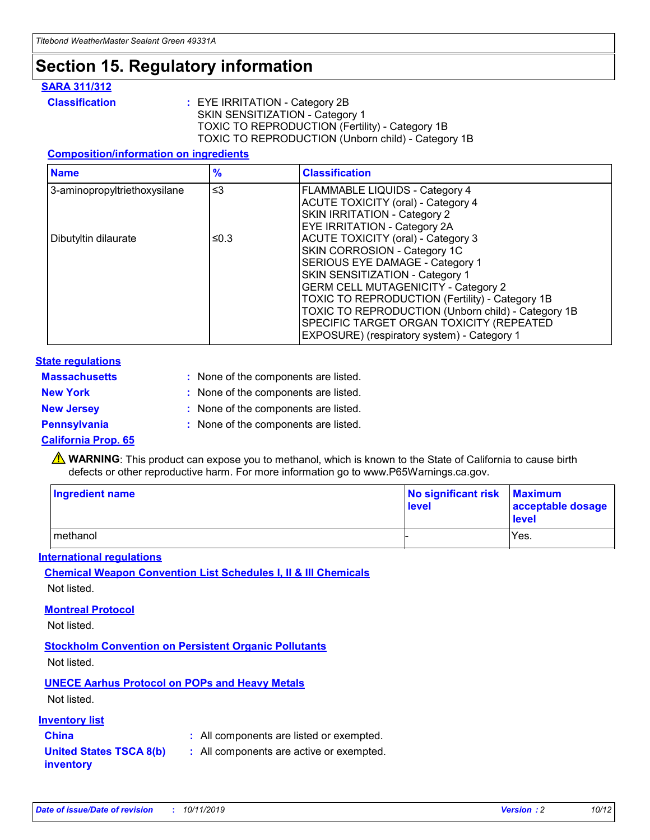### **Section 15. Regulatory information**

#### **SARA 311/312**

**Classification :** EYE IRRITATION - Category 2B SKIN SENSITIZATION - Category 1 TOXIC TO REPRODUCTION (Fertility) - Category 1B TOXIC TO REPRODUCTION (Unborn child) - Category 1B

#### **Composition/information on ingredients**

| <b>Name</b>                  | $\frac{9}{6}$ | <b>Classification</b>                                                                                            |
|------------------------------|---------------|------------------------------------------------------------------------------------------------------------------|
| 3-aminopropyltriethoxysilane | $\leq$ 3      | <b>FLAMMABLE LIQUIDS - Category 4</b><br><b>ACUTE TOXICITY (oral) - Category 4</b>                               |
|                              |               | SKIN IRRITATION - Category 2<br>EYE IRRITATION - Category 2A                                                     |
| Dibutyltin dilaurate         | ≤0.3          | ACUTE TOXICITY (oral) - Category 3<br>SKIN CORROSION - Category 1C                                               |
|                              |               | SERIOUS EYE DAMAGE - Category 1<br>SKIN SENSITIZATION - Category 1<br><b>GERM CELL MUTAGENICITY - Category 2</b> |
|                              |               | TOXIC TO REPRODUCTION (Fertility) - Category 1B<br>TOXIC TO REPRODUCTION (Unborn child) - Category 1B            |
|                              |               | SPECIFIC TARGET ORGAN TOXICITY (REPEATED<br>EXPOSURE) (respiratory system) - Category 1                          |

#### **State regulations**

| <b>Massachusetts</b> | : None of the components are listed. |
|----------------------|--------------------------------------|
| <b>New York</b>      | : None of the components are listed. |
| <b>New Jersey</b>    | : None of the components are listed. |
| <b>Pennsylvania</b>  | : None of the components are listed. |

#### **California Prop. 65**

**A** WARNING: This product can expose you to methanol, which is known to the State of California to cause birth defects or other reproductive harm. For more information go to www.P65Warnings.ca.gov.

| <b>Ingredient name</b> | No significant risk Maximum<br>level | acceptable dosage<br>level |
|------------------------|--------------------------------------|----------------------------|
| methanol               |                                      | Yes.                       |

#### **International regulations**

**Chemical Weapon Convention List Schedules I, II & III Chemicals** Not listed.

#### **Montreal Protocol**

Not listed.

**Stockholm Convention on Persistent Organic Pollutants**

Not listed.

### **UNECE Aarhus Protocol on POPs and Heavy Metals**

Not listed.

#### **Inventory list**

### **China :** All components are listed or exempted.

**United States TSCA 8(b) inventory :** All components are active or exempted.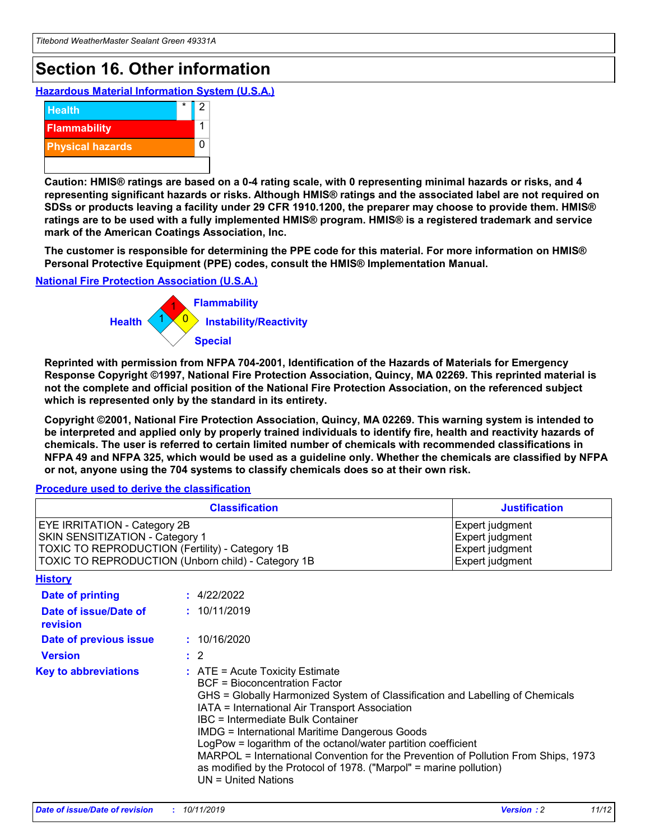## **Section 16. Other information**

**Hazardous Material Information System (U.S.A.)**



**Caution: HMIS® ratings are based on a 0-4 rating scale, with 0 representing minimal hazards or risks, and 4 representing significant hazards or risks. Although HMIS® ratings and the associated label are not required on SDSs or products leaving a facility under 29 CFR 1910.1200, the preparer may choose to provide them. HMIS® ratings are to be used with a fully implemented HMIS® program. HMIS® is a registered trademark and service mark of the American Coatings Association, Inc.**

**The customer is responsible for determining the PPE code for this material. For more information on HMIS® Personal Protective Equipment (PPE) codes, consult the HMIS® Implementation Manual.**

#### **National Fire Protection Association (U.S.A.)**



**Reprinted with permission from NFPA 704-2001, Identification of the Hazards of Materials for Emergency Response Copyright ©1997, National Fire Protection Association, Quincy, MA 02269. This reprinted material is not the complete and official position of the National Fire Protection Association, on the referenced subject which is represented only by the standard in its entirety.**

**Copyright ©2001, National Fire Protection Association, Quincy, MA 02269. This warning system is intended to be interpreted and applied only by properly trained individuals to identify fire, health and reactivity hazards of chemicals. The user is referred to certain limited number of chemicals with recommended classifications in NFPA 49 and NFPA 325, which would be used as a guideline only. Whether the chemicals are classified by NFPA or not, anyone using the 704 systems to classify chemicals does so at their own risk.**

#### **Procedure used to derive the classification**

|                                                                                                                    | <b>Classification</b>                                                                                                                                                                                                                                                                                                                                                                                                                                                                                                                                         | <b>Justification</b>                                                     |
|--------------------------------------------------------------------------------------------------------------------|---------------------------------------------------------------------------------------------------------------------------------------------------------------------------------------------------------------------------------------------------------------------------------------------------------------------------------------------------------------------------------------------------------------------------------------------------------------------------------------------------------------------------------------------------------------|--------------------------------------------------------------------------|
| EYE IRRITATION - Category 2B<br>SKIN SENSITIZATION - Category 1<br>TOXIC TO REPRODUCTION (Fertility) - Category 1B | TOXIC TO REPRODUCTION (Unborn child) - Category 1B                                                                                                                                                                                                                                                                                                                                                                                                                                                                                                            | Expert judgment<br>Expert judgment<br>Expert judgment<br>Expert judgment |
| <b>History</b>                                                                                                     |                                                                                                                                                                                                                                                                                                                                                                                                                                                                                                                                                               |                                                                          |
| <b>Date of printing</b>                                                                                            | : 4/22/2022                                                                                                                                                                                                                                                                                                                                                                                                                                                                                                                                                   |                                                                          |
| Date of issue/Date of<br>revision                                                                                  | : 10/11/2019                                                                                                                                                                                                                                                                                                                                                                                                                                                                                                                                                  |                                                                          |
| Date of previous issue                                                                                             | : 10/16/2020                                                                                                                                                                                                                                                                                                                                                                                                                                                                                                                                                  |                                                                          |
| <b>Version</b>                                                                                                     | $\therefore$ 2                                                                                                                                                                                                                                                                                                                                                                                                                                                                                                                                                |                                                                          |
| <b>Key to abbreviations</b>                                                                                        | $:$ ATE = Acute Toxicity Estimate<br><b>BCF</b> = Bioconcentration Factor<br>GHS = Globally Harmonized System of Classification and Labelling of Chemicals<br>IATA = International Air Transport Association<br>IBC = Intermediate Bulk Container<br><b>IMDG = International Maritime Dangerous Goods</b><br>LogPow = logarithm of the octanol/water partition coefficient<br>MARPOL = International Convention for the Prevention of Pollution From Ships, 1973<br>as modified by the Protocol of 1978. ("Marpol" = marine pollution)<br>UN = United Nations |                                                                          |